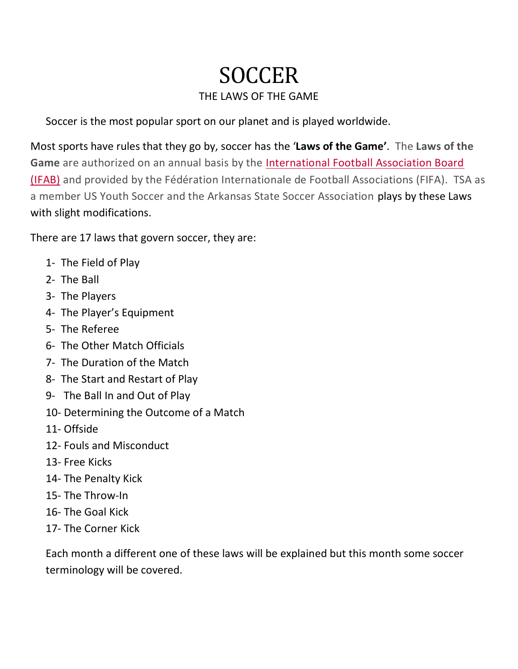## **SOCCER** THE LAWS OF THE GAME

Soccer is the most popular sport on our planet and is played worldwide.

Most sports have rules that they go by, soccer has the '**Laws of the Game'**. The **Laws of the**  Game are authorized on an annual basis by the International Football Association Board [\(IFAB\)](http://www.theifab.com/) and provided by the Fédération Internationale de Football Associations (FIFA). TSA as a member US Youth Soccer and the Arkansas State Soccer Association plays by these Laws with slight modifications.

There are 17 laws that govern soccer, they are:

- 1- The Field of Play
- 2- The Ball
- 3- The Players
- 4- The Player's Equipment
- 5- The Referee
- 6- The Other Match Officials
- 7- The Duration of the Match
- 8- The Start and Restart of Play
- 9- The Ball In and Out of Play
- 10- Determining the Outcome of a Match
- 11- Offside
- 12- Fouls and Misconduct
- 13- Free Kicks
- 14- The Penalty Kick
- 15- The Throw-In
- 16- The Goal Kick
- 17- The Corner Kick

Each month a different one of these laws will be explained but this month some soccer terminology will be covered.